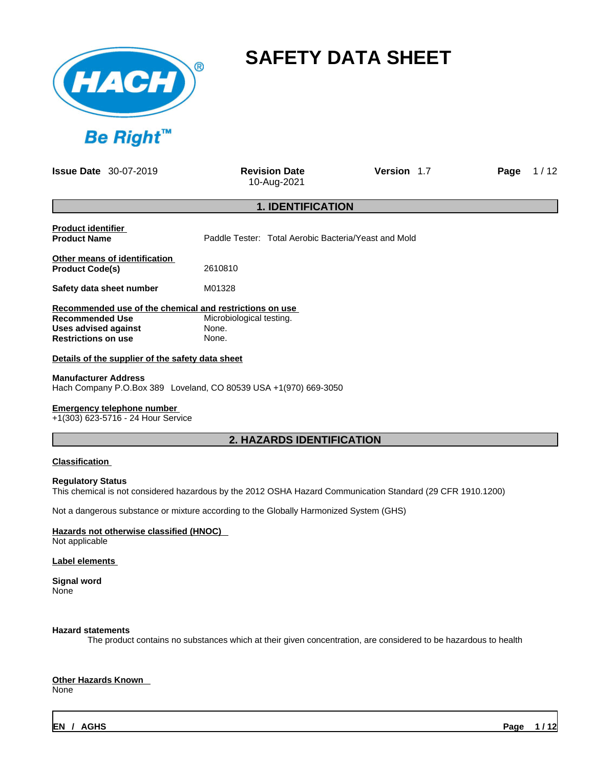

# **SAFETY DATA SHEET**

**Issue Date** 30-07-2019 **Revision Date** 

10-Aug-2021

**Version** 1.7 **Page** 1 / 12

## **1. IDENTIFICATION**

| <b>Product identifier</b><br><b>Product Name</b>        | Paddle Tester: Total Aerobic Bacteria/Yeast and Mold |
|---------------------------------------------------------|------------------------------------------------------|
| Other means of identification<br><b>Product Code(s)</b> | 2610810                                              |
| Safety data sheet number                                | M01328                                               |
| Recommended use of the chemical and restrictions on use |                                                      |
| <b>Recommended Use</b>                                  | Microbiological testing.                             |
| Uses advised against                                    | None.                                                |
| <b>Restrictions on use</b>                              | None.                                                |

#### **Details of the supplier of the safety data sheet**

#### **Manufacturer Address**

Hach Company P.O.Box 389 Loveland, CO 80539 USA +1(970) 669-3050

## **Emergency telephone number**

+1(303) 623-5716 - 24 Hour Service

## **2. HAZARDS IDENTIFICATION**

#### **Classification**

#### **Regulatory Status**

This chemical is not considered hazardous by the 2012 OSHA Hazard Communication Standard (29 CFR 1910.1200)

Not a dangerous substance or mixture according to the Globally Harmonized System (GHS)

#### **Hazards not otherwise classified (HNOC)**  Not applicable

#### **Label elements**

**Signal word** None

#### **Hazard statements**

The product contains no substances which at their given concentration, are considered to be hazardous to health

# **Other Hazards Known**

None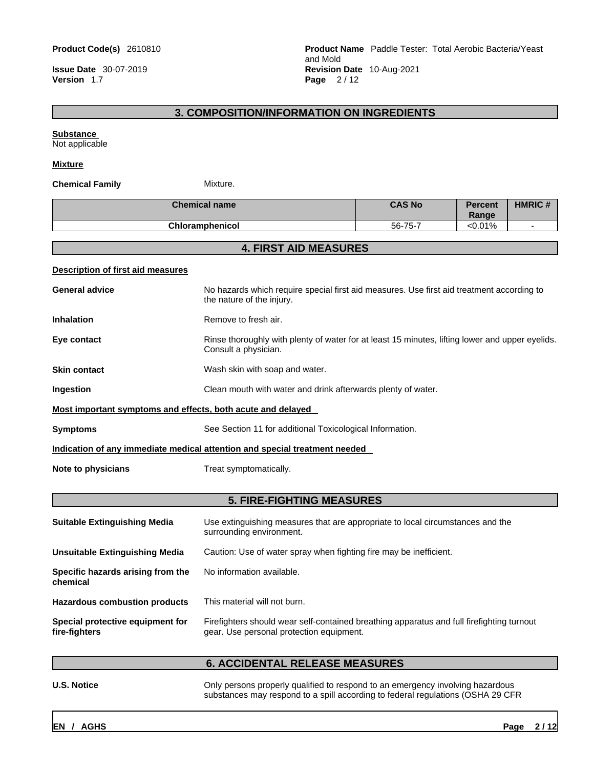**Version** 1.7 **Page** 2 / 12

**Product Code(s)** 2610810 **Product Name** Paddle Tester: Total Aerobic Bacteria/Yeast and Mold **Issue Date** 30-07-2019 **Revision Date** 10-Aug-2021

# **3. COMPOSITION/INFORMATION ON INGREDIENTS**

#### **Substance**

Not applicable

#### **Mixture**

#### **Chemical Family** Mixture.

| <b>Chemical name</b>   | <b>CAS No</b> | <b>Percent</b><br>Range | <b>HMRIC#</b> |
|------------------------|---------------|-------------------------|---------------|
| <b>Chloramphenicol</b> | 56-75-7       | < 0.01%                 |               |

## **4. FIRST AID MEASURES**

#### **Description of first aid measures**

| <b>General advice</b>                                                      | No hazards which require special first aid measures. Use first aid treatment according to<br>the nature of the injury.  |  |
|----------------------------------------------------------------------------|-------------------------------------------------------------------------------------------------------------------------|--|
| <b>Inhalation</b>                                                          | Remove to fresh air.                                                                                                    |  |
| Eye contact                                                                | Rinse thoroughly with plenty of water for at least 15 minutes, lifting lower and upper eyelids.<br>Consult a physician. |  |
| <b>Skin contact</b>                                                        | Wash skin with soap and water.                                                                                          |  |
| Ingestion                                                                  | Clean mouth with water and drink afterwards plenty of water.                                                            |  |
| Most important symptoms and effects, both acute and delayed                |                                                                                                                         |  |
| <b>Symptoms</b>                                                            | See Section 11 for additional Toxicological Information.                                                                |  |
| Indication of any immediate medical attention and special treatment needed |                                                                                                                         |  |
| Note to physicians                                                         | Treat symptomatically.                                                                                                  |  |
|                                                                            |                                                                                                                         |  |

# **5. FIRE-FIGHTING MEASURES**

| <b>Suitable Extinguishing Media</b>               | Use extinguishing measures that are appropriate to local circumstances and the<br>surrounding environment.                            |
|---------------------------------------------------|---------------------------------------------------------------------------------------------------------------------------------------|
| Unsuitable Extinguishing Media                    | Caution: Use of water spray when fighting fire may be inefficient.                                                                    |
| Specific hazards arising from the<br>chemical     | No information available.                                                                                                             |
| <b>Hazardous combustion products</b>              | This material will not burn.                                                                                                          |
| Special protective equipment for<br>fire-fighters | Firefighters should wear self-contained breathing apparatus and full firefighting turnout<br>gear. Use personal protection equipment. |

# **6. ACCIDENTAL RELEASE MEASURES**

**U.S. Notice Conly persons properly qualified to respond to an emergency involving hazardous** substances may respond to a spill according to federal regulations (OSHA 29 CFR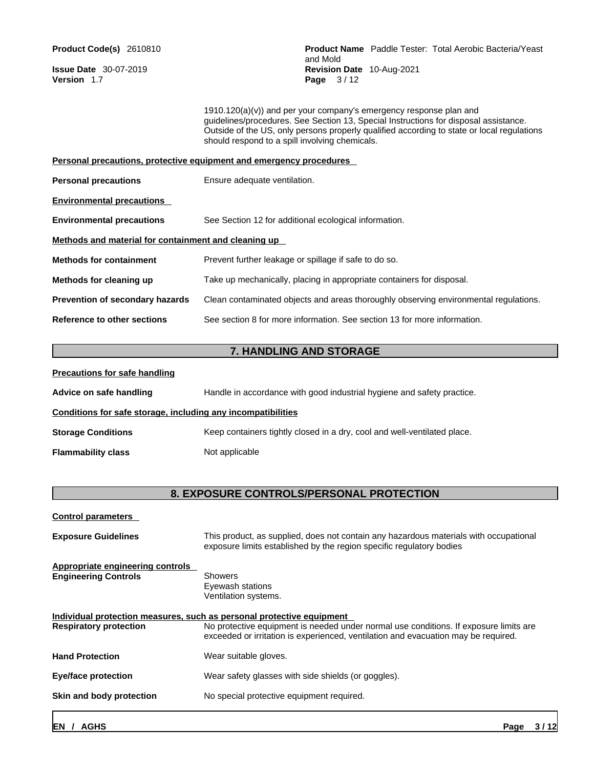**Version** 1.7 **Page** 3 / 12

**Product Code(s)** 2610810 **Product Name** Paddle Tester: Total Aerobic Bacteria/Yeast and Mold **Issue Date** 30-07-2019 **Revision Date** 10-Aug-2021

> 1910.120(a)(v)) and per your company's emergency response plan and guidelines/procedures. See Section 13, Special Instructions for disposal assistance. Outside of the US, only persons properly qualified according to state or local regulations should respond to a spill involving chemicals.

|                                                      | Personal precautions, protective equipment and emergency procedures                  |
|------------------------------------------------------|--------------------------------------------------------------------------------------|
| <b>Personal precautions</b>                          | Ensure adequate ventilation.                                                         |
| <b>Environmental precautions</b>                     |                                                                                      |
| <b>Environmental precautions</b>                     | See Section 12 for additional ecological information.                                |
| Methods and material for containment and cleaning up |                                                                                      |
| <b>Methods for containment</b>                       | Prevent further leakage or spillage if safe to do so.                                |
| Methods for cleaning up                              | Take up mechanically, placing in appropriate containers for disposal.                |
| <b>Prevention of secondary hazards</b>               | Clean contaminated objects and areas thoroughly observing environmental regulations. |
| Reference to other sections                          | See section 8 for more information. See section 13 for more information.             |

# **7. HANDLING AND STORAGE**

| <b>Precautions for safe handling</b>                         |                                                                          |
|--------------------------------------------------------------|--------------------------------------------------------------------------|
| Advice on safe handling                                      | Handle in accordance with good industrial hygiene and safety practice.   |
| Conditions for safe storage, including any incompatibilities |                                                                          |
| <b>Storage Conditions</b>                                    | Keep containers tightly closed in a dry, cool and well-ventilated place. |
| <b>Flammability class</b>                                    | Not applicable                                                           |

# **8. EXPOSURE CONTROLS/PERSONAL PROTECTION**

| <b>Control parameters</b>                                              |                                                                                                                                                                                                                                                      |
|------------------------------------------------------------------------|------------------------------------------------------------------------------------------------------------------------------------------------------------------------------------------------------------------------------------------------------|
| <b>Exposure Guidelines</b>                                             | This product, as supplied, does not contain any hazardous materials with occupational<br>exposure limits established by the region specific regulatory bodies                                                                                        |
| <b>Appropriate engineering controls</b><br><b>Engineering Controls</b> | Showers<br>Eyewash stations<br>Ventilation systems.                                                                                                                                                                                                  |
| <b>Respiratory protection</b>                                          | Individual protection measures, such as personal protective equipment<br>No protective equipment is needed under normal use conditions. If exposure limits are<br>exceeded or irritation is experienced, ventilation and evacuation may be required. |
| <b>Hand Protection</b>                                                 | Wear suitable gloves.                                                                                                                                                                                                                                |
| <b>Eye/face protection</b>                                             | Wear safety glasses with side shields (or goggles).                                                                                                                                                                                                  |
| Skin and body protection                                               | No special protective equipment required.                                                                                                                                                                                                            |
|                                                                        |                                                                                                                                                                                                                                                      |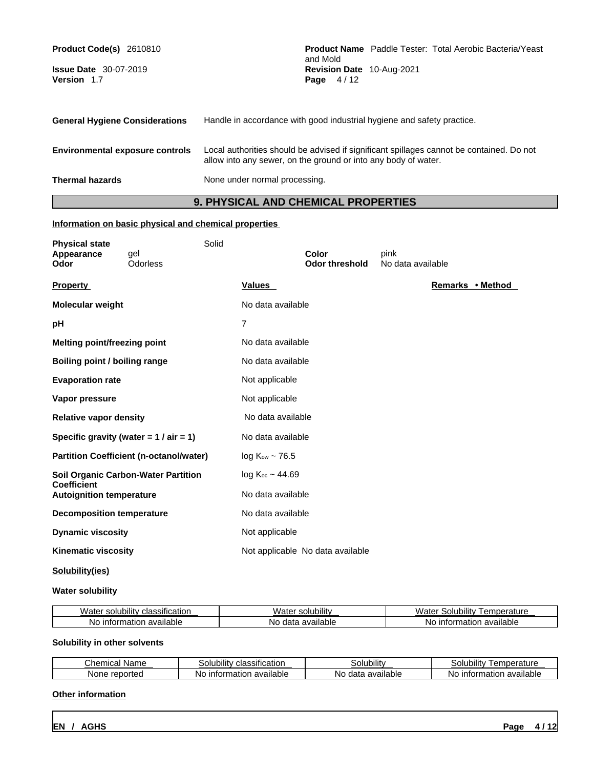| Product Code(s) 2610810<br><b>Issue Date</b> 30-07-2019<br>Version 1.7 | <b>Product Name</b> Paddle Tester: Total Aerobic Bacteria/Yeast<br>and Mold<br>Revision Date 10-Aug-2021<br>Page 4/12                                      |
|------------------------------------------------------------------------|------------------------------------------------------------------------------------------------------------------------------------------------------------|
| <b>General Hygiene Considerations</b>                                  | Handle in accordance with good industrial hygiene and safety practice.                                                                                     |
| <b>Environmental exposure controls</b>                                 | Local authorities should be advised if significant spillages cannot be contained. Do not<br>allow into any sewer, on the ground or into any body of water. |
| <b>Thermal hazards</b>                                                 | None under normal processing.                                                                                                                              |

# **9. PHYSICAL AND CHEMICAL PROPERTIES**

## **Information on basic physical and chemical properties**

| <b>Physical state</b><br>Appearance<br><b>Odor</b>    | gel<br>Odorless                                | Solid          |                         | Color<br><b>Odor threshold</b>   | pink<br>No data available |
|-------------------------------------------------------|------------------------------------------------|----------------|-------------------------|----------------------------------|---------------------------|
| <b>Property</b>                                       |                                                |                | <b>Values</b>           |                                  | Remarks • Method          |
| <b>Molecular weight</b>                               |                                                |                | No data available       |                                  |                           |
| рH                                                    |                                                | $\overline{7}$ |                         |                                  |                           |
| <b>Melting point/freezing point</b>                   |                                                |                | No data available       |                                  |                           |
| Boiling point / boiling range                         |                                                |                | No data available       |                                  |                           |
| <b>Evaporation rate</b>                               |                                                |                | Not applicable          |                                  |                           |
| Vapor pressure                                        |                                                |                | Not applicable          |                                  |                           |
| <b>Relative vapor density</b>                         |                                                |                | No data available       |                                  |                           |
|                                                       | Specific gravity (water = $1 / air = 1$ )      |                | No data available       |                                  |                           |
|                                                       | <b>Partition Coefficient (n-octanol/water)</b> |                | $log Kow \sim 76.5$     |                                  |                           |
|                                                       | <b>Soil Organic Carbon-Water Partition</b>     |                | $log K_{oc} \sim 44.69$ |                                  |                           |
| <b>Coefficient</b><br><b>Autoignition temperature</b> |                                                |                | No data available       |                                  |                           |
| <b>Decomposition temperature</b>                      |                                                |                | No data available       |                                  |                           |
| <b>Dynamic viscosity</b>                              |                                                |                | Not applicable          |                                  |                           |
| <b>Kinematic viscosity</b>                            |                                                |                |                         | Not applicable No data available |                           |
|                                                       |                                                |                |                         |                                  |                           |

# **Solubility(ies)**

## **Water solubility**

| ۱۸۱۸۰<br>$\cdots$<br>classification<br>solubilitv<br>varei | $\cdots$<br>solubility<br>-115 | <br>lubilit<br>.<br>.<br>$M^{\prime}$<br>. er<br>ате<br>ונו כ<br>i diul C<br>৴ড় |
|------------------------------------------------------------|--------------------------------|----------------------------------------------------------------------------------|
| available<br>≅intu.<br>ation<br>NG<br>Нo                   | available<br>Nο<br>data        | available<br>natıor<br>N<br>* шп.                                                |

# **Solubility in other solvents**

| ີົ <sup>∿</sup> ≏mica⊓ …<br>Name       | <br>$\cdot$<br>classification.<br>'olubilityذ | <br>rubility<br>اند     | <br>I emperature<br>.oilit'<br>olur.          |
|----------------------------------------|-----------------------------------------------|-------------------------|-----------------------------------------------|
| ported<br><b>None</b><br>$r \approx r$ | .<br>available<br>intor<br>Νo<br>าลแ<br>υ     | available<br>data<br>NΟ | available<br>$\cdots$<br>natior<br>.NG<br>Int |

#### **Other information**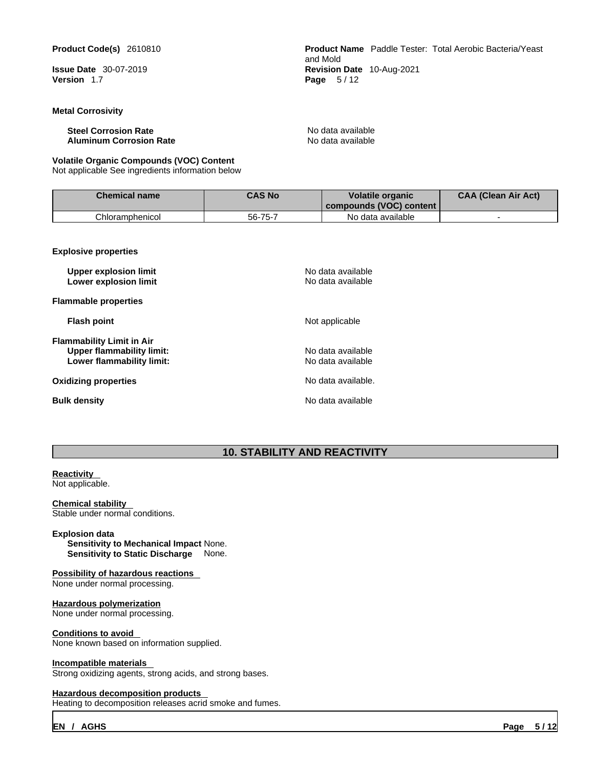**Version** 1.7 **Page** 5 / 12

#### **Metal Corrosivity**

**Steel Corrosion Rate**<br> **Aluminum Corrosion Rate** No data available<br> **Aluminum Corrosion Rate Aluminum Corrosion Rate** 

#### **Volatile Organic Compounds (VOC) Content**

Not applicable See ingredients information below

**Product Code(s)** 2610810 **Product Name** Paddle Tester: Total Aerobic Bacteria/Yeast and Mold **Issue Date** 30-07-2019 **Revision Date** 10-Aug-2021

| <b>Chemical name</b> | <b>CAS No</b> | <b>Volatile organic</b><br>l compounds (VOC) content_ | <b>CAA (Clean Air Act)</b> |
|----------------------|---------------|-------------------------------------------------------|----------------------------|
| Chloramphenicol      | 56-75-7       | No data available                                     |                            |

**Explosive properties**

| <b>Upper explosion limit</b><br>Lower explosion limit                                      | No data available<br>No data available |
|--------------------------------------------------------------------------------------------|----------------------------------------|
| <b>Flammable properties</b>                                                                |                                        |
| <b>Flash point</b>                                                                         | Not applicable                         |
| Flammability Limit in Air<br><b>Upper flammability limit:</b><br>Lower flammability limit: | No data available<br>No data available |
| Oxidizing properties                                                                       | No data available.                     |
| Bulk density                                                                               | No data available                      |

# **10. STABILITY AND REACTIVITY**

# **Reactivity**

Not applicable.

**Chemical stability**  Stable under normal conditions.

#### **Explosion data**

**Sensitivity to Mechanical Impact** None. **Sensitivity to Static Discharge** None.

#### **Possibility of hazardous reactions**

None under normal processing.

#### **Hazardous polymerization** None under normal processing.

#### **Conditions to avoid**

None known based on information supplied.

#### **Incompatible materials**

Strong oxidizing agents, strong acids, and strong bases.

#### **Hazardous decomposition products**

Heating to decomposition releases acrid smoke and fumes.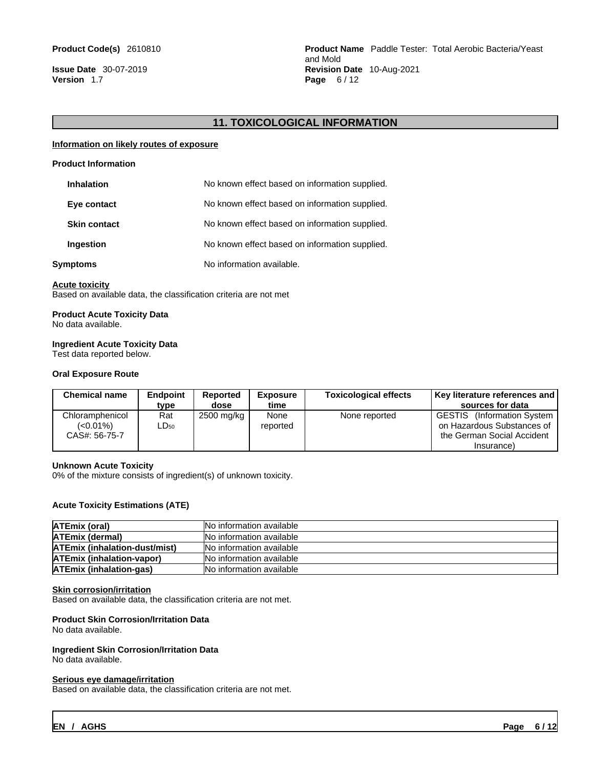**Version** 1.7 **Page** 6 / 12

# **11. TOXICOLOGICAL INFORMATION**

#### **Information on likely routes of exposure**

#### **Product Information**

| <b>Inhalation</b>   | No known effect based on information supplied. |
|---------------------|------------------------------------------------|
| Eye contact         | No known effect based on information supplied. |
| <b>Skin contact</b> | No known effect based on information supplied. |
| Ingestion           | No known effect based on information supplied. |
| Symptoms            | No information available.                      |

#### **Acute toxicity**

Based on available data, the classification criteria are not met

# **Product Acute Toxicity Data**

No data available.

#### **Ingredient Acute Toxicity Data**

Test data reported below.

#### **Oral Exposure Route**

| <b>Chemical name</b>                            | <b>Endpoint</b><br>type | Reported<br>dose | Exposure<br>time | <b>Toxicological effects</b> | Key literature references and  <br>sources for data                                    |
|-------------------------------------------------|-------------------------|------------------|------------------|------------------------------|----------------------------------------------------------------------------------------|
| Chloramphenicol<br>$(<0.01\%)$<br>CAS#: 56-75-7 | Rat<br>LD50             | 2500 mg/kg       | None<br>reported | None reported                | GESTIS (Information System<br>on Hazardous Substances of<br>the German Social Accident |
|                                                 |                         |                  |                  |                              | (Insurance                                                                             |

#### **Unknown Acute Toxicity**

0% of the mixture consists of ingredient(s) of unknown toxicity.

#### **Acute Toxicity Estimations (ATE)**

| ATEmix (oral)                        | <b>No information available</b> |
|--------------------------------------|---------------------------------|
| <b>ATEmix (dermal)</b>               | INo information available       |
| <b>ATEmix (inhalation-dust/mist)</b> | <b>No information available</b> |
| <b>ATEmix (inhalation-vapor)</b>     | No information available        |
| <b>ATEmix (inhalation-gas)</b>       | <b>No information available</b> |

#### **Skin corrosion/irritation**

Based on available data, the classification criteria are not met.

#### **Product Skin Corrosion/Irritation Data**

No data available.

#### **Ingredient Skin Corrosion/Irritation Data**

No data available.

#### **Serious eye damage/irritation**

Based on available data, the classification criteria are not met.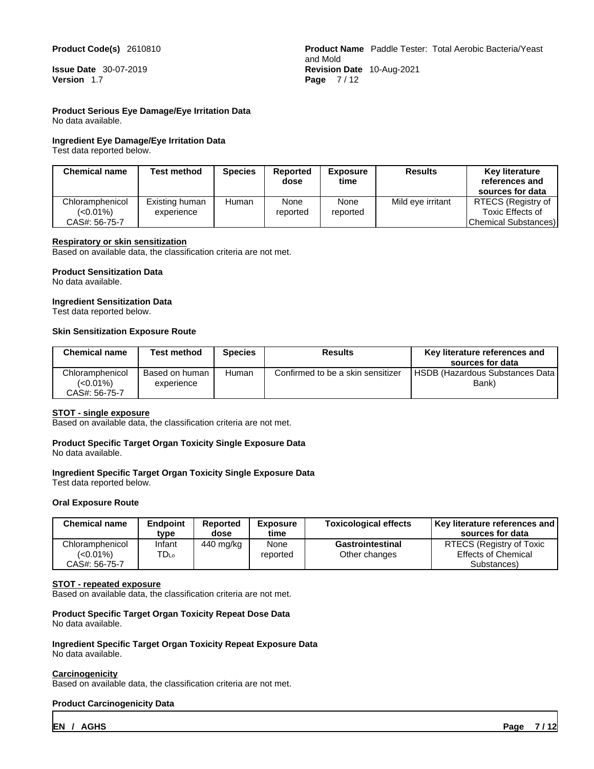#### **Product Code(s)** 2610810

**Issue Date** 30-07-2019 **Version** 1.7

#### **Product Serious Eye Damage/Eye Irritation Data**

No data available.

#### **Ingredient Eye Damage/Eye Irritation Data**

Test data reported below.

|                                  | <b>Product Name</b> Paddle Tester: Total Aerobic Bacteria/Yeast |
|----------------------------------|-----------------------------------------------------------------|
| and Mold                         |                                                                 |
| <b>Revision Date</b> 10-Aug-2021 |                                                                 |
| Page $7/12$                      |                                                                 |

| <b>Chemical name</b> | Test method    | <b>Species</b> | <b>Reported</b><br>dose | <b>Exposure</b><br>time | <b>Results</b>    | <b>Key literature</b><br>references and<br>sources for data |
|----------------------|----------------|----------------|-------------------------|-------------------------|-------------------|-------------------------------------------------------------|
| Chloramphenicol      | Existing human | Human          | None                    | None                    | Mild eve irritant | RTECS (Registry of                                          |
| (<0.01%)             | experience     |                | reported                | reported                |                   | Toxic Effects of                                            |
| CAS#: 56-75-7        |                |                |                         |                         |                   | Chemical Substances)                                        |

#### **Respiratory or skin sensitization**

Based on available data, the classification criteria are not met.

#### **Product Sensitization Data**

No data available.

#### **Ingredient Sensitization Data**

Test data reported below.

#### **Skin Sensitization Exposure Route**

| <b>Chemical name</b>                         | Test method                  | Species | Results                           | Key literature references and<br>sources for data |
|----------------------------------------------|------------------------------|---------|-----------------------------------|---------------------------------------------------|
| Chloramphenicol<br>(<0.01%)<br>CAS#: 56-75-7 | Based on human<br>experience | Human   | Confirmed to be a skin sensitizer | <b>HSDB (Hazardous Substances Data)</b><br>Bank)  |

#### **STOT - single exposure**

Based on available data, the classification criteria are not met.

# **Product Specific Target Organ Toxicity Single Exposure Data**

No data available.

# **Ingredient Specific Target Organ Toxicity Single Exposure Data**

Test data reported below.

#### **Oral Exposure Route**

| <b>Chemical name</b>                            | <b>Endpoint</b><br>tvpe | Reported<br>dose | <b>Exposure</b><br>time | <b>Toxicological effects</b>      | <b>Key literature references and  </b><br>sources for data            |
|-------------------------------------------------|-------------------------|------------------|-------------------------|-----------------------------------|-----------------------------------------------------------------------|
| Chloramphenicol<br>$(<0.01\%)$<br>CAS#: 56-75-7 | Infant<br>™D⊾o          | 440 mg/kg        | None<br>reported        | Gastrointestinal<br>Other changes | RTECS (Registry of Toxic<br><b>Effects of Chemical</b><br>Substances) |

#### **STOT - repeated exposure**

Based on available data, the classification criteria are not met.

#### **Product Specific Target Organ Toxicity Repeat Dose Data** No data available.

**Ingredient Specific Target Organ Toxicity Repeat Exposure Data** No data available.

#### **Carcinogenicity**

Based on available data, the classification criteria are not met.

#### **Product Carcinogenicity Data**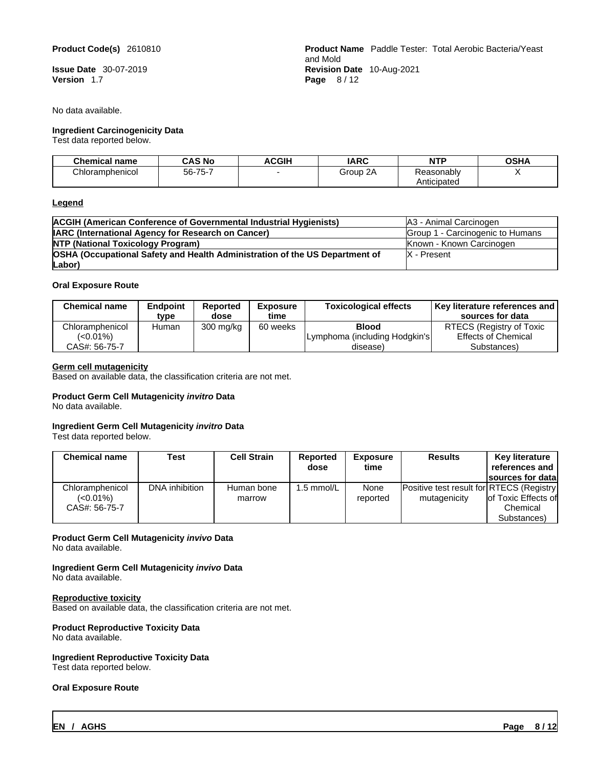#### **Product Code(s)** 2610810

**Issue Date** 30-07-2019 **Version** 1.7

No data available.

#### **Ingredient Carcinogenicity Data**

Test data reported below.

|                                  | <b>Product Name</b> Paddle Tester: Total Aerobic Bacteria/Yeast |
|----------------------------------|-----------------------------------------------------------------|
| and Mold                         |                                                                 |
| <b>Revision Date</b> 10-Aug-2021 |                                                                 |
| Page $8/12$                      |                                                                 |

| <b>Chemical name</b> | <b>CAS No</b> | <b>ACGIH</b> | <b>IARC</b> | <b>NTP</b>  | <b>OSHA</b> |
|----------------------|---------------|--------------|-------------|-------------|-------------|
| Chloramphenicol      | 56-75-7       |              | 2Α<br>Group | Reasonablv  |             |
|                      |               |              |             | Anticipated |             |

#### **Legend**

| <b>ACGIH (American Conference of Governmental Industrial Hygienists)</b>    | IA3 - Animal Carcinogen          |
|-----------------------------------------------------------------------------|----------------------------------|
| <b>IARC (International Agency for Research on Cancer)</b>                   | Group 1 - Carcinogenic to Humans |
| <b>NTP (National Toxicology Program)</b>                                    | Known - Known Carcinogen         |
| OSHA (Occupational Safety and Health Administration of the US Department of | X - Present                      |
| $\lfloor$ Labor $\rfloor$                                                   |                                  |

#### **Oral Exposure Route**

| <b>Chemical name</b> | <b>Endpoint</b><br>type | Reported<br>dose | <b>Exposure</b><br>time | <b>Toxicological effects</b>   | Key literature references and  <br>sources for data |
|----------------------|-------------------------|------------------|-------------------------|--------------------------------|-----------------------------------------------------|
| Chloramphenicol      | Human                   | 300 mg/kg        | 60 weeks                | <b>Blood</b>                   | RTECS (Registry of Toxic                            |
| $(<0.01\%)$          |                         |                  |                         | ILymphoma (including Hodgkin's | <b>Effects of Chemical</b>                          |
| CAS#: 56-75-7        |                         |                  |                         | disease)                       | Substances)                                         |

#### **Germ cell mutagenicity**

Based on available data, the classification criteria are not met.

## **Product Germ Cell Mutagenicity** *invitro* **Data**

No data available.

#### **Ingredient Germ Cell Mutagenicity** *invitro* **Data**

Test data reported below.

| <b>Chemical name</b>                            | Test           | Cell Strain          | <b>Reported</b><br>dose | <b>Exposure</b><br>time | <b>Results</b>                                            | Key literature<br>references and<br><b>Isources for datal</b> |
|-------------------------------------------------|----------------|----------------------|-------------------------|-------------------------|-----------------------------------------------------------|---------------------------------------------------------------|
| Chloramphenicol<br>$(<0.01\%)$<br>CAS#: 56-75-7 | DNA inhibition | Human bone<br>marrow | 1.5 mmol/L              | None<br>reported        | Positive test result for RTECS (Registry)<br>mutagenicity | lof Toxic Effects of<br>Chemical                              |
|                                                 |                |                      |                         |                         |                                                           | Substances)                                                   |

#### **Product Germ Cell Mutagenicity** *invivo* **Data**

No data available.

# **Ingredient Germ Cell Mutagenicity** *invivo* **Data**

No data available.

#### **Reproductive toxicity**

Based on available data, the classification criteria are not met.

# **Product Reproductive Toxicity Data**

No data available.

# **Ingredient Reproductive Toxicity Data**

Test data reported below.

#### **Oral Exposure Route**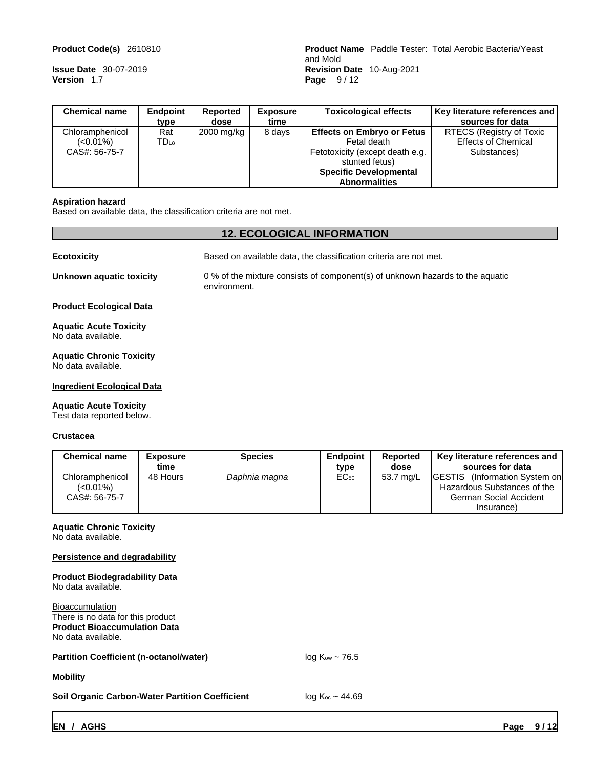**Version** 1.7 **Page** 9 / 12

**Product Code(s)** 2610810 **Product Name** Paddle Tester: Total Aerobic Bacteria/Yeast and Mold **Issue Date** 30-07-2019 **Revision Date** 10-Aug-2021

| <b>Chemical name</b> | <b>Endpoint</b> | Reported   | Exposure | <b>Toxicological effects</b>      | Key literature references and |
|----------------------|-----------------|------------|----------|-----------------------------------|-------------------------------|
|                      | type            | dose       | time     |                                   | sources for data              |
| Chloramphenicol      | Rat             | 2000 mg/kg | 8 days   | <b>Effects on Embryo or Fetus</b> | RTECS (Registry of Toxic      |
| $(<0.01\%)$          | <b>TD</b> Lo    |            |          | Fetal death                       | <b>Effects of Chemical</b>    |
| CAS#: 56-75-7        |                 |            |          | Fetotoxicity (except death e.g.   | Substances)                   |
|                      |                 |            |          | stunted fetus)                    |                               |
|                      |                 |            |          | <b>Specific Developmental</b>     |                               |
|                      |                 |            |          | <b>Abnormalities</b>              |                               |

#### **Aspiration hazard**

Based on available data, the classification criteria are not met.

# **12. ECOLOGICAL INFORMATION**

| <b>Ecotoxicity</b>                                    | Based on available data, the classification criteria are not met.                             |
|-------------------------------------------------------|-----------------------------------------------------------------------------------------------|
| Unknown aquatic toxicity                              | 0 % of the mixture consists of component(s) of unknown hazards to the aquatic<br>environment. |
| <b>Product Ecological Data</b>                        |                                                                                               |
| <b>Aquatic Acute Toxicity</b><br>No data available.   |                                                                                               |
| <b>Aquatic Chronic Toxicity</b><br>No data available. |                                                                                               |

#### **Ingredient Ecological Data**

#### **Aquatic Acute Toxicity**

Test data reported below.

#### **Crustacea**

| <b>Chemical name</b>                         | Exposure<br>time | Species       | <b>Endpoint</b><br>type | Reported<br>dose | Key literature references and<br>sources for data                                                 |
|----------------------------------------------|------------------|---------------|-------------------------|------------------|---------------------------------------------------------------------------------------------------|
| Chloramphenicol<br>(<0.01%)<br>CAS#: 56-75-7 | 48 Hours         | Daphnia magna | $EC_{50}$               | 53.7 mg/L        | <b>IGESTIS</b><br>(Information System on<br>Hazardous Substances of the<br>German Social Accident |
|                                              |                  |               |                         |                  | Insurance)                                                                                        |

# **Aquatic Chronic Toxicity**

No data available.

#### **Persistence and degradability**

| <b>Product Biodegradability Data</b><br>No data available.                                                               |                         |
|--------------------------------------------------------------------------------------------------------------------------|-------------------------|
| <b>Bioaccumulation</b><br>There is no data for this product<br><b>Product Bioaccumulation Data</b><br>No data available. |                         |
| <b>Partition Coefficient (n-octanol/water)</b>                                                                           | $log Kow \sim 76.5$     |
| <b>Mobility</b>                                                                                                          |                         |
| <b>Soil Organic Carbon-Water Partition Coefficient</b>                                                                   | $log K_{oc} \sim 44.69$ |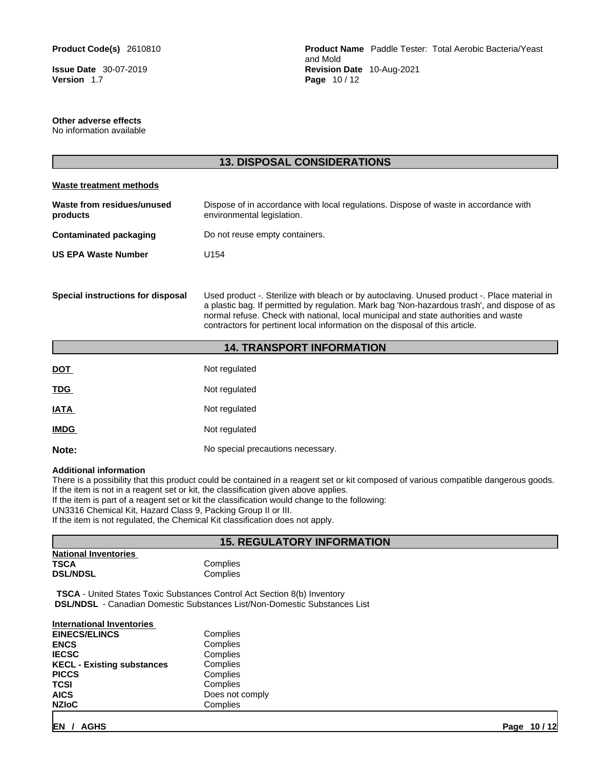**Version** 1.7 **Page** 10 / 12

**Product Code(s)** 2610810 **Product Name** Paddle Tester: Total Aerobic Bacteria/Yeast and Mold **Issue Date** 30-07-2019 **Revision Date** 10-Aug-2021

#### **Other adverse effects**

No information available

|                                        | <b>13. DISPOSAL CONSIDERATIONS</b>                                                                                                                                                                                                                                                                                                                                  |
|----------------------------------------|---------------------------------------------------------------------------------------------------------------------------------------------------------------------------------------------------------------------------------------------------------------------------------------------------------------------------------------------------------------------|
| <b>Waste treatment methods</b>         |                                                                                                                                                                                                                                                                                                                                                                     |
| Waste from residues/unused<br>products | Dispose of in accordance with local regulations. Dispose of waste in accordance with<br>environmental legislation.                                                                                                                                                                                                                                                  |
| <b>Contaminated packaging</b>          | Do not reuse empty containers.                                                                                                                                                                                                                                                                                                                                      |
| <b>US EPA Waste Number</b>             | U <sub>154</sub>                                                                                                                                                                                                                                                                                                                                                    |
| Special instructions for disposal      | Used product -. Sterilize with bleach or by autoclaving. Unused product -. Place material in<br>a plastic bag. If permitted by regulation. Mark bag 'Non-hazardous trash', and dispose of as<br>normal refuse. Check with national, local municipal and state authorities and waste<br>contractors for pertinent local information on the disposal of this article. |
|                                        | <b>14. TRANSPORT INFORMATION</b>                                                                                                                                                                                                                                                                                                                                    |
| <u>DOT</u>                             | Not regulated                                                                                                                                                                                                                                                                                                                                                       |
| <b>TDG</b>                             | Not regulated                                                                                                                                                                                                                                                                                                                                                       |
| <b>IATA</b>                            | Not regulated                                                                                                                                                                                                                                                                                                                                                       |
|                                        |                                                                                                                                                                                                                                                                                                                                                                     |

# **IMDG** Not regulated

**Note:** No special precautions necessary.

#### **Additional information**

There is a possibility that this product could be contained in a reagent set or kit composed of various compatible dangerous goods. If the item is not in a reagent set or kit, the classification given above applies.

If the item is part of a reagent set or kit the classification would change to the following:

UN3316 Chemical Kit, Hazard Class 9, Packing Group II or III.

If the item is not regulated, the Chemical Kit classification does not apply.

#### **15. REGULATORY INFORMATION**

| <b>National Inventories</b> |      |
|-----------------------------|------|
| TSCA                        | Comp |
| <b>DSL/NDSL</b>             | Comp |

**Complies Complies** 

**TSCA** - United States Toxic Substances Control Act Section 8(b) Inventory  **DSL/NDSL** - Canadian Domestic Substances List/Non-Domestic Substances List

| <b>International Inventories</b>  |                 |  |
|-----------------------------------|-----------------|--|
| <b>EINECS/ELINCS</b>              | Complies        |  |
| <b>ENCS</b>                       | Complies        |  |
| <b>IECSC</b>                      | Complies        |  |
| <b>KECL - Existing substances</b> | Complies        |  |
| <b>PICCS</b>                      | Complies        |  |
| TCSI                              | Complies        |  |
| <b>AICS</b>                       | Does not comply |  |
| <b>NZIOC</b>                      | Complies        |  |
|                                   |                 |  |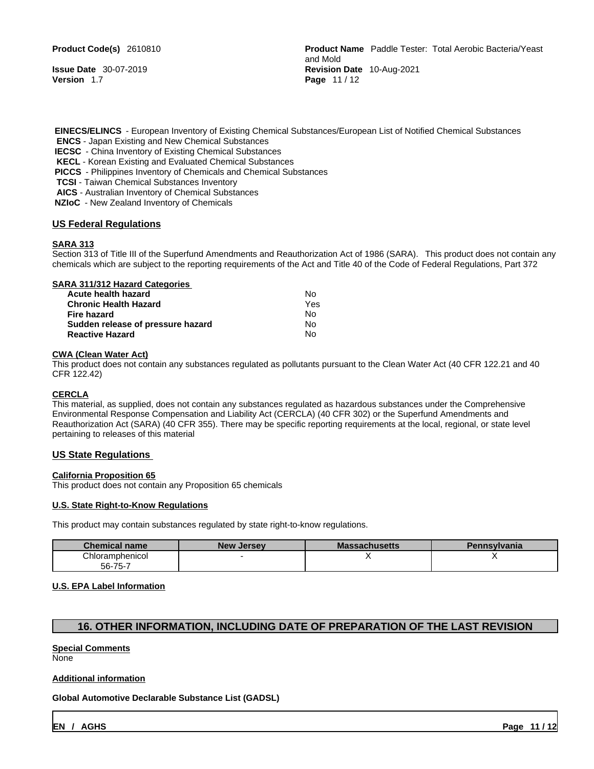**Version** 1.7 **Page** 11 / 12

**Product Code(s)** 2610810 **Product Name** Paddle Tester: Total Aerobic Bacteria/Yeast and Mold **Issue Date** 30-07-2019 **Revision Date** 10-Aug-2021

 **EINECS/ELINCS** - European Inventory of Existing Chemical Substances/European List of Notified Chemical Substances **ENCS** - Japan Existing and New Chemical Substances

**IECSC** - China Inventory of Existing Chemical Substances

**KECL** - Korean Existing and Evaluated Chemical Substances

 **PICCS** - Philippines Inventory of Chemicals and Chemical Substances

**TCSI** - Taiwan Chemical Substances Inventory

**AICS** - Australian Inventory of Chemical Substances

 **NZIoC** - New Zealand Inventory of Chemicals

#### **US Federal Regulations**

#### **SARA 313**

Section 313 of Title III of the Superfund Amendments and Reauthorization Act of 1986 (SARA). This product does not contain any chemicals which are subject to the reporting requirements of the Act and Title 40 of the Code of Federal Regulations, Part 372

#### **SARA 311/312 Hazard Categories**

| Acute health hazard               | N٥  |
|-----------------------------------|-----|
| <b>Chronic Health Hazard</b>      | Yes |
| Fire hazard                       | N٥  |
| Sudden release of pressure hazard | N٥  |
| <b>Reactive Hazard</b>            | N٥  |

#### **CWA (Clean WaterAct)**

This product does not contain any substances regulated as pollutants pursuant to the Clean Water Act (40 CFR 122.21 and 40 CFR 122.42)

#### **CERCLA**

This material, as supplied, does not contain any substances regulated as hazardous substances under the Comprehensive Environmental Response Compensation and Liability Act (CERCLA) (40 CFR 302) or the Superfund Amendments and Reauthorization Act (SARA) (40 CFR 355). There may be specific reporting requirements at the local, regional, or state level pertaining to releases of this material

#### **US State Regulations**

#### **California Proposition 65**

This product does not contain any Proposition 65 chemicals

#### **U.S. State Right-to-Know Regulations**

This product may contain substances regulated by state right-to-know regulations.

| <b>Chemical name</b> | <b>New</b><br>/ Jersev | Massachusetts | Pennsylvania |
|----------------------|------------------------|---------------|--------------|
| Chloramphenicol      |                        |               |              |
| 56-75-7              |                        |               |              |

#### **U.S. EPA Label Information**

#### **16. OTHER INFORMATION, INCLUDING DATE OF PREPARATION OF THE LAST REVISION**

#### **Special Comments** None

# **Additional information**

**Global Automotive Declarable Substance List (GADSL)**